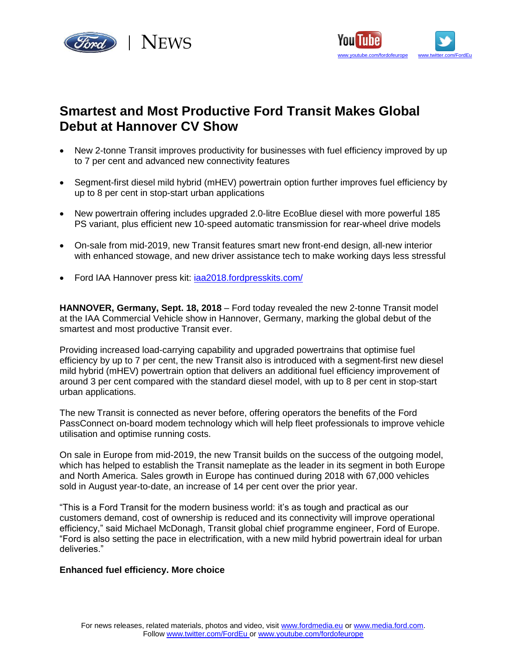



# **Smartest and Most Productive Ford Transit Makes Global Debut at Hannover CV Show**

- New 2-tonne Transit improves productivity for businesses with fuel efficiency improved by up to 7 per cent and advanced new connectivity features
- Segment-first diesel mild hybrid (mHEV) powertrain option further improves fuel efficiency by up to 8 per cent in stop-start urban applications
- New powertrain offering includes upgraded 2.0-litre EcoBlue diesel with more powerful 185 PS variant, plus efficient new 10-speed automatic transmission for rear-wheel drive models
- On-sale from mid-2019, new Transit features smart new front-end design, all-new interior with enhanced stowage, and new driver assistance tech to make working days less stressful
- Ford IAA Hannover press kit: [iaa2018.fordpresskits.com/](http://iaa2018.fordpresskits.com/)

**HANNOVER, Germany, Sept. 18, 2018** – Ford today revealed the new 2-tonne Transit model at the IAA Commercial Vehicle show in Hannover, Germany, marking the global debut of the smartest and most productive Transit ever.

Providing increased load-carrying capability and upgraded powertrains that optimise fuel efficiency by up to 7 per cent, the new Transit also is introduced with a segment-first new diesel mild hybrid (mHEV) powertrain option that delivers an additional fuel efficiency improvement of around 3 per cent compared with the standard diesel model, with up to 8 per cent in stop-start urban applications.

The new Transit is connected as never before, offering operators the benefits of the Ford PassConnect on-board modem technology which will help fleet professionals to improve vehicle utilisation and optimise running costs.

On sale in Europe from mid-2019, the new Transit builds on the success of the outgoing model, which has helped to establish the Transit nameplate as the leader in its segment in both Europe and North America. Sales growth in Europe has continued during 2018 with 67,000 vehicles sold in August year-to-date, an increase of 14 per cent over the prior year.

"This is a Ford Transit for the modern business world: it's as tough and practical as our customers demand, cost of ownership is reduced and its connectivity will improve operational efficiency," said Michael McDonagh, Transit global chief programme engineer, Ford of Europe. "Ford is also setting the pace in electrification, with a new mild hybrid powertrain ideal for urban deliveries."

# **Enhanced fuel efficiency. More choice**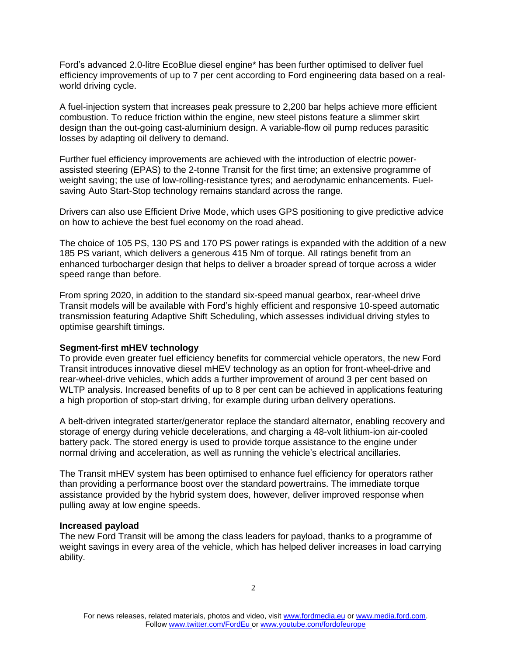Ford's advanced 2.0-litre EcoBlue diesel engine\* has been further optimised to deliver fuel efficiency improvements of up to 7 per cent according to Ford engineering data based on a realworld driving cycle.

A fuel-injection system that increases peak pressure to 2,200 bar helps achieve more efficient combustion. To reduce friction within the engine, new steel pistons feature a slimmer skirt design than the out-going cast-aluminium design. A variable-flow oil pump reduces parasitic losses by adapting oil delivery to demand.

Further fuel efficiency improvements are achieved with the introduction of electric powerassisted steering (EPAS) to the 2-tonne Transit for the first time; an extensive programme of weight saving; the use of low-rolling-resistance tyres; and aerodynamic enhancements. Fuelsaving Auto Start-Stop technology remains standard across the range.

Drivers can also use Efficient Drive Mode, which uses GPS positioning to give predictive advice on how to achieve the best fuel economy on the road ahead.

The choice of 105 PS, 130 PS and 170 PS power ratings is expanded with the addition of a new 185 PS variant, which delivers a generous 415 Nm of torque. All ratings benefit from an enhanced turbocharger design that helps to deliver a broader spread of torque across a wider speed range than before.

From spring 2020, in addition to the standard six-speed manual gearbox, rear-wheel drive Transit models will be available with Ford's highly efficient and responsive 10-speed automatic transmission featuring Adaptive Shift Scheduling, which assesses individual driving styles to optimise gearshift timings.

# **Segment-first mHEV technology**

To provide even greater fuel efficiency benefits for commercial vehicle operators, the new Ford Transit introduces innovative diesel mHEV technology as an option for front-wheel-drive and rear-wheel-drive vehicles, which adds a further improvement of around 3 per cent based on WLTP analysis. Increased benefits of up to 8 per cent can be achieved in applications featuring a high proportion of stop-start driving, for example during urban delivery operations.

A belt-driven integrated starter/generator replace the standard alternator, enabling recovery and storage of energy during vehicle decelerations, and charging a 48-volt lithium-ion air-cooled battery pack. The stored energy is used to provide torque assistance to the engine under normal driving and acceleration, as well as running the vehicle's electrical ancillaries.

The Transit mHEV system has been optimised to enhance fuel efficiency for operators rather than providing a performance boost over the standard powertrains. The immediate torque assistance provided by the hybrid system does, however, deliver improved response when pulling away at low engine speeds.

# **Increased payload**

The new Ford Transit will be among the class leaders for payload, thanks to a programme of weight savings in every area of the vehicle, which has helped deliver increases in load carrying ability.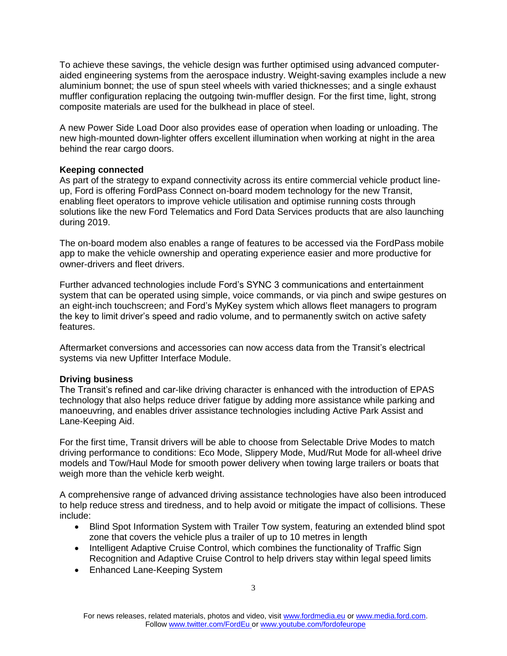To achieve these savings, the vehicle design was further optimised using advanced computeraided engineering systems from the aerospace industry. Weight-saving examples include a new aluminium bonnet; the use of spun steel wheels with varied thicknesses; and a single exhaust muffler configuration replacing the outgoing twin-muffler design. For the first time, light, strong composite materials are used for the bulkhead in place of steel.

A new Power Side Load Door also provides ease of operation when loading or unloading. The new high-mounted down-lighter offers excellent illumination when working at night in the area behind the rear cargo doors.

# **Keeping connected**

As part of the strategy to expand connectivity across its entire commercial vehicle product lineup, Ford is offering FordPass Connect on-board modem technology for the new Transit, enabling fleet operators to improve vehicle utilisation and optimise running costs through solutions like the new Ford Telematics and Ford Data Services products that are also launching during 2019.

The on-board modem also enables a range of features to be accessed via the FordPass mobile app to make the vehicle ownership and operating experience easier and more productive for owner-drivers and fleet drivers.

Further advanced technologies include Ford's SYNC 3 communications and entertainment system that can be operated using simple, voice commands, or via pinch and swipe gestures on an eight-inch touchscreen; and Ford's MyKey system which allows fleet managers to program the key to limit driver's speed and radio volume, and to permanently switch on active safety features.

Aftermarket conversions and accessories can now access data from the Transit's electrical systems via new Upfitter Interface Module.

# **Driving business**

The Transit's refined and car-like driving character is enhanced with the introduction of EPAS technology that also helps reduce driver fatigue by adding more assistance while parking and manoeuvring, and enables driver assistance technologies including Active Park Assist and Lane-Keeping Aid.

For the first time, Transit drivers will be able to choose from Selectable Drive Modes to match driving performance to conditions: Eco Mode, Slippery Mode, Mud/Rut Mode for all-wheel drive models and Tow/Haul Mode for smooth power delivery when towing large trailers or boats that weigh more than the vehicle kerb weight.

A comprehensive range of advanced driving assistance technologies have also been introduced to help reduce stress and tiredness, and to help avoid or mitigate the impact of collisions. These include:

- Blind Spot Information System with Trailer Tow system, featuring an extended blind spot zone that covers the vehicle plus a trailer of up to 10 metres in length
- Intelligent Adaptive Cruise Control, which combines the functionality of Traffic Sign Recognition and Adaptive Cruise Control to help drivers stay within legal speed limits
- Enhanced Lane-Keeping System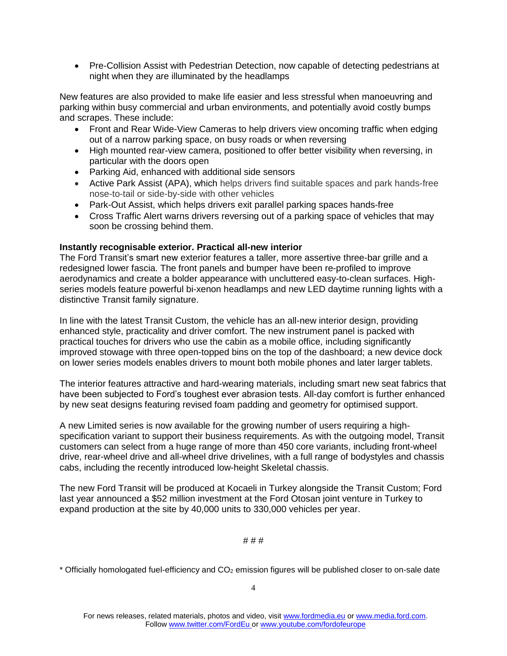• Pre-Collision Assist with Pedestrian Detection, now capable of detecting pedestrians at night when they are illuminated by the headlamps

New features are also provided to make life easier and less stressful when manoeuvring and parking within busy commercial and urban environments, and potentially avoid costly bumps and scrapes. These include:

- Front and Rear Wide-View Cameras to help drivers view oncoming traffic when edging out of a narrow parking space, on busy roads or when reversing
- High mounted rear-view camera, positioned to offer better visibility when reversing, in particular with the doors open
- Parking Aid, enhanced with additional side sensors
- Active Park Assist (APA), which helps drivers find suitable spaces and park hands-free nose-to-tail or side-by-side with other vehicles
- Park-Out Assist, which helps drivers exit parallel parking spaces hands-free
- Cross Traffic Alert warns drivers reversing out of a parking space of vehicles that may soon be crossing behind them.

# **Instantly recognisable exterior. Practical all-new interior**

The Ford Transit's smart new exterior features a taller, more assertive three-bar grille and a redesigned lower fascia. The front panels and bumper have been re-profiled to improve aerodynamics and create a bolder appearance with uncluttered easy-to-clean surfaces. Highseries models feature powerful bi-xenon headlamps and new LED daytime running lights with a distinctive Transit family signature.

In line with the latest Transit Custom, the vehicle has an all-new interior design, providing enhanced style, practicality and driver comfort. The new instrument panel is packed with practical touches for drivers who use the cabin as a mobile office, including significantly improved stowage with three open-topped bins on the top of the dashboard; a new device dock on lower series models enables drivers to mount both mobile phones and later larger tablets.

The interior features attractive and hard-wearing materials, including smart new seat fabrics that have been subjected to Ford's toughest ever abrasion tests. All-day comfort is further enhanced by new seat designs featuring revised foam padding and geometry for optimised support.

A new Limited series is now available for the growing number of users requiring a highspecification variant to support their business requirements. As with the outgoing model, Transit customers can select from a huge range of more than 450 core variants, including front-wheel drive, rear-wheel drive and all-wheel drive drivelines, with a full range of bodystyles and chassis cabs, including the recently introduced low-height Skeletal chassis.

The new Ford Transit will be produced at Kocaeli in Turkey alongside the Transit Custom; Ford last year announced a \$52 million investment at the Ford Otosan joint venture in Turkey to expand production at the site by 40,000 units to 330,000 vehicles per year.

# # # #

 $*$  Officially homologated fuel-efficiency and  $CO<sub>2</sub>$  emission figures will be published closer to on-sale date